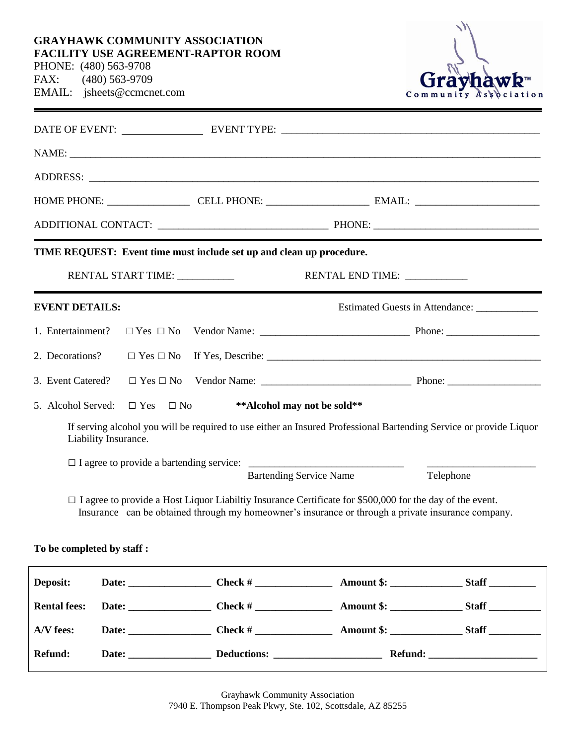## **GRAYHAWK COMMUNITY ASSOCIATION FACILITY USE AGREEMENT-RAPTOR ROOM**

PHONE: (480) 563-9708 FAX: (480) 563-9709 EMAIL: jsheets@ccmcnet.com



| DATE OF EVENT: LEVENT TYPE: LEVENT TYPE: LEVENT TYPE: LEVENT TYPE: LEVENT TYPE: LEVENT TYPE: LEVENT TYPE: LEVENT TYPE: LEVENT TYPE: LEVENT TYPE: LEVENT TYPE: LEVENT TYPE: LEVENT TYPE: LEVENT TYPE: LEVENT TYPE: LEVENT TYPE: |  |                                                                                                                                                                                                                       |                                                                                                                    |  |  |
|--------------------------------------------------------------------------------------------------------------------------------------------------------------------------------------------------------------------------------|--|-----------------------------------------------------------------------------------------------------------------------------------------------------------------------------------------------------------------------|--------------------------------------------------------------------------------------------------------------------|--|--|
| NAME: NAME                                                                                                                                                                                                                     |  |                                                                                                                                                                                                                       |                                                                                                                    |  |  |
|                                                                                                                                                                                                                                |  |                                                                                                                                                                                                                       |                                                                                                                    |  |  |
|                                                                                                                                                                                                                                |  |                                                                                                                                                                                                                       |                                                                                                                    |  |  |
|                                                                                                                                                                                                                                |  |                                                                                                                                                                                                                       |                                                                                                                    |  |  |
| TIME REQUEST: Event time must include set up and clean up procedure.                                                                                                                                                           |  |                                                                                                                                                                                                                       |                                                                                                                    |  |  |
| RENTAL START TIME: ___________<br>RENTAL END TIME:                                                                                                                                                                             |  |                                                                                                                                                                                                                       |                                                                                                                    |  |  |
| <b>EVENT DETAILS:</b>                                                                                                                                                                                                          |  |                                                                                                                                                                                                                       | Estimated Guests in Attendance: _____________                                                                      |  |  |
| 1. Entertainment?                                                                                                                                                                                                              |  |                                                                                                                                                                                                                       |                                                                                                                    |  |  |
| 2. Decorations?                                                                                                                                                                                                                |  |                                                                                                                                                                                                                       |                                                                                                                    |  |  |
| 3. Event Catered?                                                                                                                                                                                                              |  |                                                                                                                                                                                                                       |                                                                                                                    |  |  |
| 5. Alcohol Served:<br>$\Box$ Yes<br>$\Box$ No                                                                                                                                                                                  |  | ** Alcohol may not be sold**                                                                                                                                                                                          |                                                                                                                    |  |  |
| Liability Insurance.                                                                                                                                                                                                           |  |                                                                                                                                                                                                                       | If serving alcohol you will be required to use either an Insured Professional Bartending Service or provide Liquor |  |  |
|                                                                                                                                                                                                                                |  | <b>Bartending Service Name</b>                                                                                                                                                                                        | Telephone                                                                                                          |  |  |
|                                                                                                                                                                                                                                |  | $\Box$ I agree to provide a Host Liquor Liabiltiy Insurance Certificate for \$500,000 for the day of the event.<br>Insurance can be obtained through my homeowner's insurance or through a private insurance company. |                                                                                                                    |  |  |
| To be completed by staff :                                                                                                                                                                                                     |  |                                                                                                                                                                                                                       |                                                                                                                    |  |  |
| Deposit:                                                                                                                                                                                                                       |  |                                                                                                                                                                                                                       |                                                                                                                    |  |  |

| <b>Rental fees:</b> | Date:        | Check #            | Amount \$:        | <b>Staff</b> |
|---------------------|--------------|--------------------|-------------------|--------------|
| A/V fees:           | <b>Date:</b> | Check #            | <b>Amount \$:</b> | <b>Staff</b> |
| <b>Refund:</b>      | Date:        | <b>Deductions:</b> | <b>Refund:</b>    |              |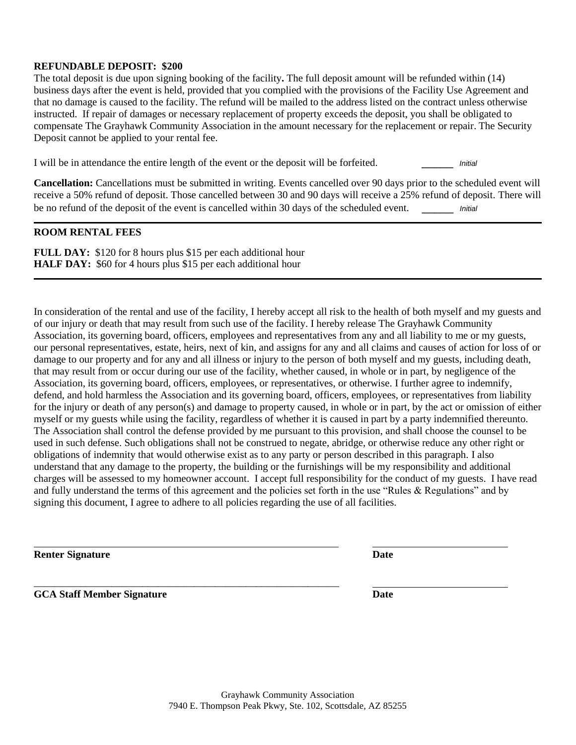## **REFUNDABLE DEPOSIT: \$200**

The total deposit is due upon signing booking of the facility**.** The full deposit amount will be refunded within (14) business days after the event is held, provided that you complied with the provisions of the Facility Use Agreement and that no damage is caused to the facility. The refund will be mailed to the address listed on the contract unless otherwise instructed. If repair of damages or necessary replacement of property exceeds the deposit, you shall be obligated to compensate The Grayhawk Community Association in the amount necessary for the replacement or repair. The Security Deposit cannot be applied to your rental fee.

I will be in attendance the entire length of the event or the deposit will be forfeited. *Initial* 

**Cancellation:** Cancellations must be submitted in writing. Events cancelled over 90 days prior to the scheduled event will receive a 50% refund of deposit. Those cancelled between 30 and 90 days will receive a 25% refund of deposit. There will be no refund of the deposit of the event is cancelled within 30 days of the scheduled event. \_\_\_\_\_ *Initial*

## **ROOM RENTAL FEES**

**FULL DAY:** \$120 for 8 hours plus \$15 per each additional hour **HALF DAY:** \$60 for 4 hours plus \$15 per each additional hour

\_\_\_\_\_\_\_\_\_\_\_\_\_\_\_\_\_\_\_\_\_\_\_\_\_\_\_\_\_\_\_\_\_\_\_\_\_\_\_\_\_\_\_\_\_\_\_\_\_\_\_\_\_\_\_\_\_\_\_

In consideration of the rental and use of the facility, I hereby accept all risk to the health of both myself and my guests and of our injury or death that may result from such use of the facility. I hereby release The Grayhawk Community Association, its governing board, officers, employees and representatives from any and all liability to me or my guests, our personal representatives, estate, heirs, next of kin, and assigns for any and all claims and causes of action for loss of or damage to our property and for any and all illness or injury to the person of both myself and my guests, including death, that may result from or occur during our use of the facility, whether caused, in whole or in part, by negligence of the Association, its governing board, officers, employees, or representatives, or otherwise. I further agree to indemnify, defend, and hold harmless the Association and its governing board, officers, employees, or representatives from liability for the injury or death of any person(s) and damage to property caused, in whole or in part, by the act or omission of either myself or my guests while using the facility, regardless of whether it is caused in part by a party indemnified thereunto. The Association shall control the defense provided by me pursuant to this provision, and shall choose the counsel to be used in such defense. Such obligations shall not be construed to negate, abridge, or otherwise reduce any other right or obligations of indemnity that would otherwise exist as to any party or person described in this paragraph. I also understand that any damage to the property, the building or the furnishings will be my responsibility and additional charges will be assessed to my homeowner account. I accept full responsibility for the conduct of my guests. I have read and fully understand the terms of this agreement and the policies set forth in the use "Rules & Regulations" and by signing this document, I agree to adhere to all policies regarding the use of all facilities.

**Renter Signature Date**

**GCA Staff Member Signature Date**